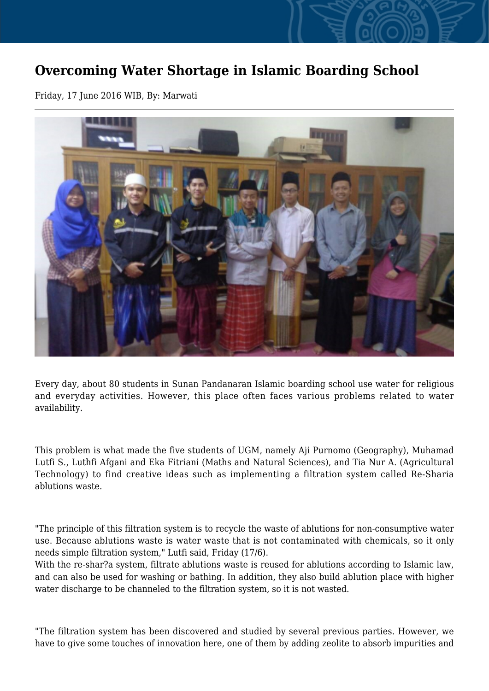## **Overcoming Water Shortage in Islamic Boarding School**

Friday, 17 June 2016 WIB, By: Marwati



Every day, about 80 students in Sunan Pandanaran Islamic boarding school use water for religious and everyday activities. However, this place often faces various problems related to water availability.

This problem is what made the five students of UGM, namely Aji Purnomo (Geography), Muhamad Lutfi S., Luthfi Afgani and Eka Fitriani (Maths and Natural Sciences), and Tia Nur A. (Agricultural Technology) to find creative ideas such as implementing a filtration system called Re-Sharia ablutions waste.

"The principle of this filtration system is to recycle the waste of ablutions for non-consumptive water use. Because ablutions waste is water waste that is not contaminated with chemicals, so it only needs simple filtration system," Lutfi said, Friday (17/6).

With the re-shar?a system, filtrate ablutions waste is reused for ablutions according to Islamic law, and can also be used for washing or bathing. In addition, they also build ablution place with higher water discharge to be channeled to the filtration system, so it is not wasted.

"The filtration system has been discovered and studied by several previous parties. However, we have to give some touches of innovation here, one of them by adding zeolite to absorb impurities and